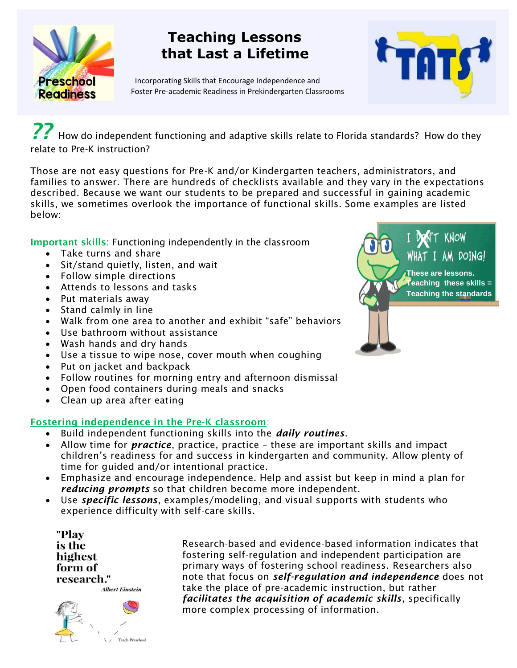

# **Teaching Lessons that Last a Lifetime**

Incorporating Skills that Encourage Independence and Foster Pre-academic Readiness in Prekindergarten Classrooms



*??* How do independent functioning and adaptive skills relate to Florida standards? How do they relate to Pre-K instruction?

Those are not easy questions for Pre-K and/or Kindergarten teachers, administrators, and families to answer. There are hundreds of checklists available and they vary in the expectations described. Because we want our students to be prepared and successful in gaining academic skills, we sometimes overlook the importance of functional skills. Some examples are listed below:

**Important skills**: Functioning independently in the classroom

- Take turns and share
- Sit/stand quietly, listen, and wait
- Follow simple directions
- Attends to lessons and tasks
- Put materials away
- Stand calmly in line
- Walk from one area to another and exhibit "safe" behaviors
- Use bathroom without assistance
- Wash hands and dry hands
- Use a tissue to wipe nose, cover mouth when coughing
- Put on jacket and backpack
- Follow routines for morning entry and afternoon dismissal
- Open food containers during meals and snacks
- Clean up area after eating

## **Fostering independence in the Pre-K classroom**:

- Build independent functioning skills into the *daily routines*.
- Allow time for *practice*, practice, practice these are important skills and impact children's readiness for and success in kindergarten and community. Allow plenty of time for guided and/or intentional practice.
- Emphasize and encourage independence. Help and assist but keep in mind a plan for *reducing prompts* so that children become more independent.
- Use *specific lessons*, examples/modeling, and visual supports with students who experience difficulty with self-care skills.

"Play is the highest form of research."



Research-based and evidence-based information indicates that fostering self-regulation and independent participation are primary ways of fostering school readiness. Researchers also note that focus on *self-regulation and independence* does not take the place of pre-academic instruction, but rather *facilitates the acquisition of academic skills*, specifically more complex processing of information.

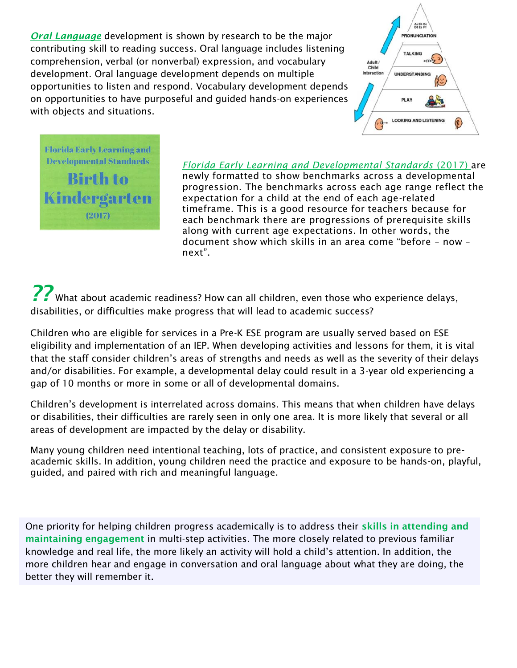*Oral Language* development is shown by research to be the major contributing skill to reading success. Oral language includes listening comprehension, verbal (or nonverbal) expression, and vocabulary development. Oral language development depends on multiple opportunities to listen and respond. Vocabulary development depends on opportunities to have purposeful and guided hands-on experiences with objects and situations.



**Florida Early Learning and Developmental Standards Birth to Kindergarten**  $(2017)$ 

## *Florida Early Learning and Developmental Standards* (2017) are

newly formatted to show benchmarks across a developmental progression. The benchmarks across each age range reflect the expectation for a child at the end of each age-related timeframe. This is a good resource for teachers because for each benchmark there are progressions of prerequisite skills along with current age expectations. In other words, the document show which skills in an area come "before – now – next".

*??* What about academic readiness? How can all children, even those who experience delays, disabilities, or difficulties make progress that will lead to academic success?

Children who are eligible for services in a Pre-K ESE program are usually served based on ESE eligibility and implementation of an IEP. When developing activities and lessons for them, it is vital that the staff consider children's areas of strengths and needs as well as the severity of their delays and/or disabilities. For example, a developmental delay could result in a 3-year old experiencing a gap of 10 months or more in some or all of developmental domains.

Children's development is interrelated across domains. This means that when children have delays or disabilities, their difficulties are rarely seen in only one area. It is more likely that several or all areas of development are impacted by the delay or disability.

Many young children need intentional teaching, lots of practice, and consistent exposure to preacademic skills. In addition, young children need the practice and exposure to be hands-on, playful, guided, and paired with rich and meaningful language.

One priority for helping children progress academically is to address their **skills in attending and maintaining engagement** in multi-step activities. The more closely related to previous familiar knowledge and real life, the more likely an activity will hold a child's attention. In addition, the more children hear and engage in conversation and oral language about what they are doing, the better they will remember it.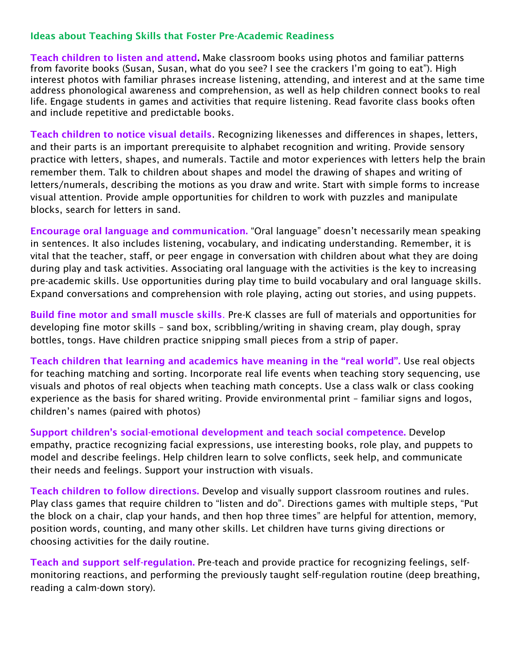#### **Ideas about Teaching Skills that Foster Pre-Academic Readiness**

**Teach children to listen and attend.** Make classroom books using photos and familiar patterns from favorite books (Susan, Susan, what do you see? I see the crackers I'm going to eat"). High interest photos with familiar phrases increase listening, attending, and interest and at the same time address phonological awareness and comprehension, as well as help children connect books to real life. Engage students in games and activities that require listening. Read favorite class books often and include repetitive and predictable books.

**Teach children to notice visual details**. Recognizing likenesses and differences in shapes, letters, and their parts is an important prerequisite to alphabet recognition and writing. Provide sensory practice with letters, shapes, and numerals. Tactile and motor experiences with letters help the brain remember them. Talk to children about shapes and model the drawing of shapes and writing of letters/numerals, describing the motions as you draw and write. Start with simple forms to increase visual attention. Provide ample opportunities for children to work with puzzles and manipulate blocks, search for letters in sand.

**Encourage oral language and communication.** "Oral language" doesn't necessarily mean speaking in sentences. It also includes listening, vocabulary, and indicating understanding. Remember, it is vital that the teacher, staff, or peer engage in conversation with children about what they are doing during play and task activities. Associating oral language with the activities is the key to increasing pre-academic skills. Use opportunities during play time to build vocabulary and oral language skills. Expand conversations and comprehension with role playing, acting out stories, and using puppets.

**Build fine motor and small muscle skills**. Pre-K classes are full of materials and opportunities for developing fine motor skills – sand box, scribbling/writing in shaving cream, play dough, spray bottles, tongs. Have children practice snipping small pieces from a strip of paper.

**Teach children that learning and academics have meaning in the "real world".** Use real objects for teaching matching and sorting. Incorporate real life events when teaching story sequencing, use visuals and photos of real objects when teaching math concepts. Use a class walk or class cooking experience as the basis for shared writing. Provide environmental print – familiar signs and logos, children's names (paired with photos)

**Support children's social-emotional development and teach social competence.** Develop empathy, practice recognizing facial expressions, use interesting books, role play, and puppets to model and describe feelings. Help children learn to solve conflicts, seek help, and communicate their needs and feelings. Support your instruction with visuals.

**Teach children to follow directions.** Develop and visually support classroom routines and rules. Play class games that require children to "listen and do". Directions games with multiple steps, "Put the block on a chair, clap your hands, and then hop three times" are helpful for attention, memory, position words, counting, and many other skills. Let children have turns giving directions or choosing activities for the daily routine.

**Teach and support self-regulation.** Pre-teach and provide practice for recognizing feelings, selfmonitoring reactions, and performing the previously taught self-regulation routine (deep breathing, reading a calm-down story).